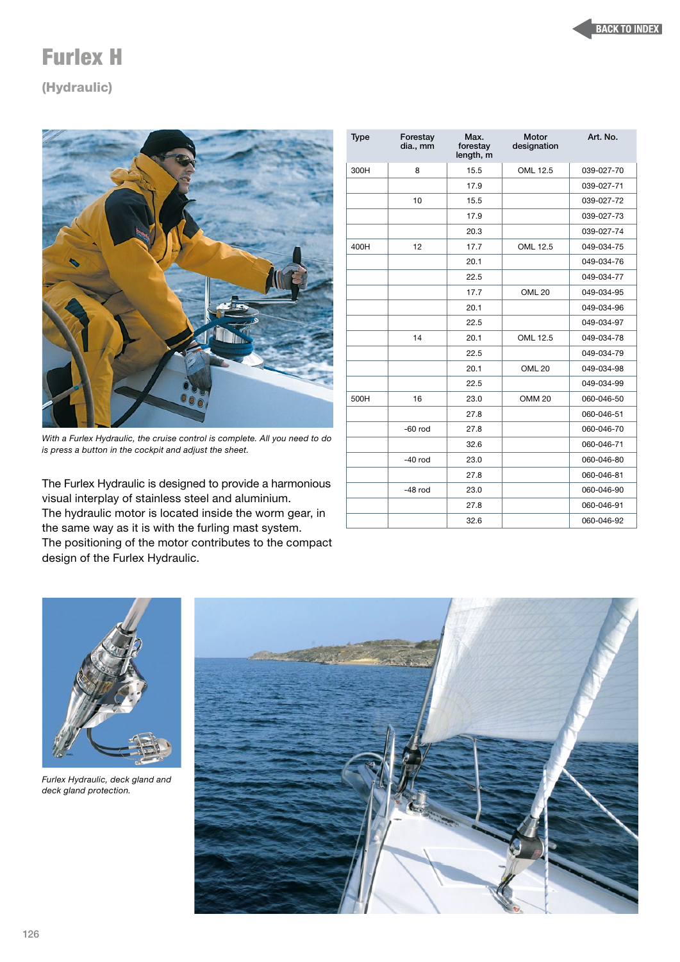## Furlex H

## (Hydraulic)



*With a Furlex Hydraulic, the cruise control is complete. All you need to do is press a button in the cockpit and adjust the sheet.*

The Furlex Hydraulic is designed to provide a harmonious visual interplay of stainless steel and aluminium. The hydraulic motor is located inside the worm gear, in the same way as it is with the furling mast system. The positioning of the motor contributes to the compact design of the Furlex Hydraulic.

| <b>Type</b> | Forestay<br>dia., mm | Max.<br>forestay<br>length, m | Motor<br>designation | Art. No.   |
|-------------|----------------------|-------------------------------|----------------------|------------|
| 300H        | 8                    | 15.5                          | OML 12.5             | 039-027-70 |
|             |                      | 17.9                          |                      | 039-027-71 |
|             | 10                   | 15.5                          |                      | 039-027-72 |
|             |                      | 17.9                          |                      | 039-027-73 |
|             |                      | 20.3                          |                      | 039-027-74 |
| 400H        | 12                   | 17.7                          | OML 12.5             | 049-034-75 |
|             |                      | 20.1                          |                      | 049-034-76 |
|             |                      | 22.5                          |                      | 049-034-77 |
|             |                      | 17.7                          | OML <sub>20</sub>    | 049-034-95 |
|             |                      | 20.1                          |                      | 049-034-96 |
|             |                      | 22.5                          |                      | 049-034-97 |
|             | 14                   | 20.1                          | OML 12.5             | 049-034-78 |
|             |                      | 22.5                          |                      | 049-034-79 |
|             |                      | 20.1                          | <b>OML 20</b>        | 049-034-98 |
|             |                      | 22.5                          |                      | 049-034-99 |
| 500H        | 16                   | 23.0                          | <b>OMM 20</b>        | 060-046-50 |
|             |                      | 27.8                          |                      | 060-046-51 |
|             | $-60$ rod            | 27.8                          |                      | 060-046-70 |
|             |                      | 32.6                          |                      | 060-046-71 |
|             | $-40$ rod            | 23.0                          |                      | 060-046-80 |
|             |                      | 27.8                          |                      | 060-046-81 |
|             | $-48$ rod            | 23.0                          |                      | 060-046-90 |
|             |                      | 27.8                          |                      | 060-046-91 |
|             |                      | 32.6                          |                      | 060-046-92 |



*Furlex Hydraulic, deck gland and deck gland protection.*